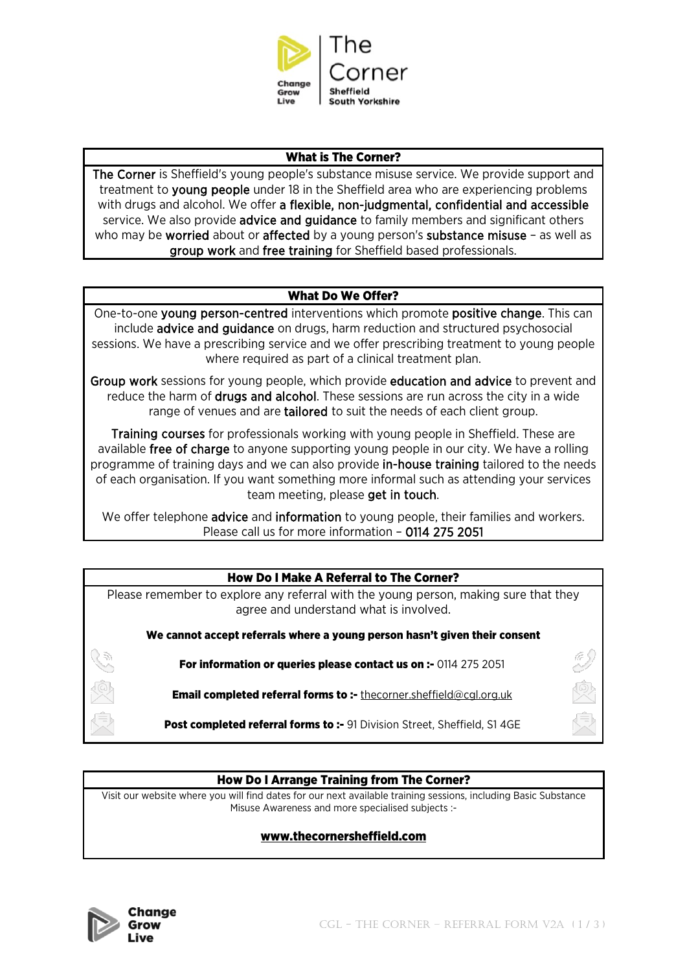

## What is The Corner?

The Corner is Sheffield's young people's substance misuse service. We provide support and treatment to young people under 18 in the Sheffield area who are experiencing problems with drugs and alcohol. We offer a flexible, non-judgmental, confidential and accessible service. We also provide advice and guidance to family members and significant others who may be **worried** about or **affected** by a young person's **substance misuse** – as well as group work and free training for Sheffield based professionals.

## What Do We Offer?

One-to-one young person-centred interventions which promote positive change. This can include advice and guidance on drugs, harm reduction and structured psychosocial sessions. We have a prescribing service and we offer prescribing treatment to young people where required as part of a clinical treatment plan.

Group work sessions for young people, which provide education and advice to prevent and reduce the harm of drugs and alcohol. These sessions are run across the city in a wide range of venues and are tailored to suit the needs of each client group.

Training courses for professionals working with young people in Sheffield. These are available free of charge to anyone supporting young people in our city. We have a rolling programme of training days and we can also provide in-house training tailored to the needs of each organisation. If you want something more informal such as attending your services team meeting, please get in touch.

We offer telephone **advice** and **information** to young people, their families and workers. Please call us for more information – 0114 275 2051

# How Do I Make A Referral to The Corner?

Please remember to explore any referral with the young person, making sure that they agree and understand what is involved.

We cannot accept referrals where a young person hasn't given their consent

For information or queries please contact us on :- 0114 275 2051

Email completed referral forms to :- [thecorner.sheffield@cgl.org.uk](mailto:thecorner.sheffield@cgl.org.uk)

Post completed referral forms to :- 91 Division Street, Sheffield, S1 4GE

## How Do I Arrange Training from The Corner?

Visit our website where you will find dates for our next available training sessions, including Basic Substance Misuse Awareness and more specialised subjects :-

## [www.thecornersheffield.com](http://www.thecornersheffield.com/)

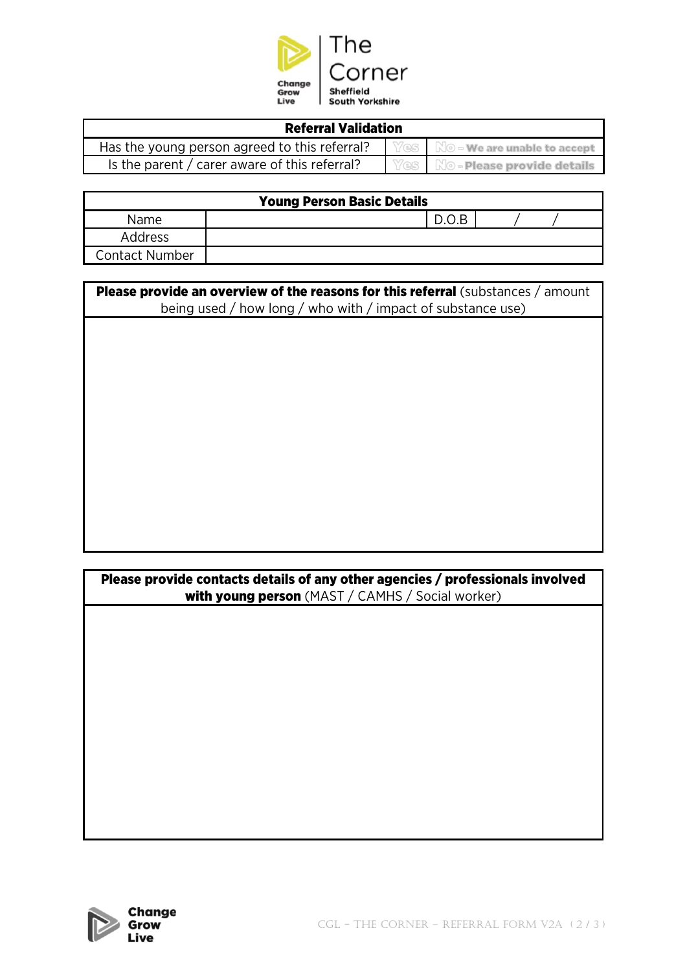

| <b>Referral Validation</b>                    |  |                                                                |  |  |  |
|-----------------------------------------------|--|----------------------------------------------------------------|--|--|--|
| Has the young person agreed to this referral? |  | $\blacksquare$ Yes $\blacksquare$ No – we are unable to accept |  |  |  |
| Is the parent / carer aware of this referral? |  | <b>Yes</b> No-Please provide details                           |  |  |  |

| <b>Young Person Basic Details</b> |       |  |  |  |  |
|-----------------------------------|-------|--|--|--|--|
| <b>Name</b>                       | D.O.B |  |  |  |  |
| Address                           |       |  |  |  |  |
| <b>Contact Number</b>             |       |  |  |  |  |

| Please provide an overview of the reasons for this referral (substances / amount<br>being used / how long / who with / impact of substance use) |  |  |  |  |  |
|-------------------------------------------------------------------------------------------------------------------------------------------------|--|--|--|--|--|
|                                                                                                                                                 |  |  |  |  |  |
|                                                                                                                                                 |  |  |  |  |  |
|                                                                                                                                                 |  |  |  |  |  |
|                                                                                                                                                 |  |  |  |  |  |
|                                                                                                                                                 |  |  |  |  |  |
|                                                                                                                                                 |  |  |  |  |  |
|                                                                                                                                                 |  |  |  |  |  |

| Please provide contacts details of any other agencies / professionals involved<br>with young person (MAST / CAMHS / Social worker) |  |  |  |  |
|------------------------------------------------------------------------------------------------------------------------------------|--|--|--|--|
|                                                                                                                                    |  |  |  |  |
|                                                                                                                                    |  |  |  |  |
|                                                                                                                                    |  |  |  |  |
|                                                                                                                                    |  |  |  |  |
|                                                                                                                                    |  |  |  |  |
|                                                                                                                                    |  |  |  |  |
|                                                                                                                                    |  |  |  |  |